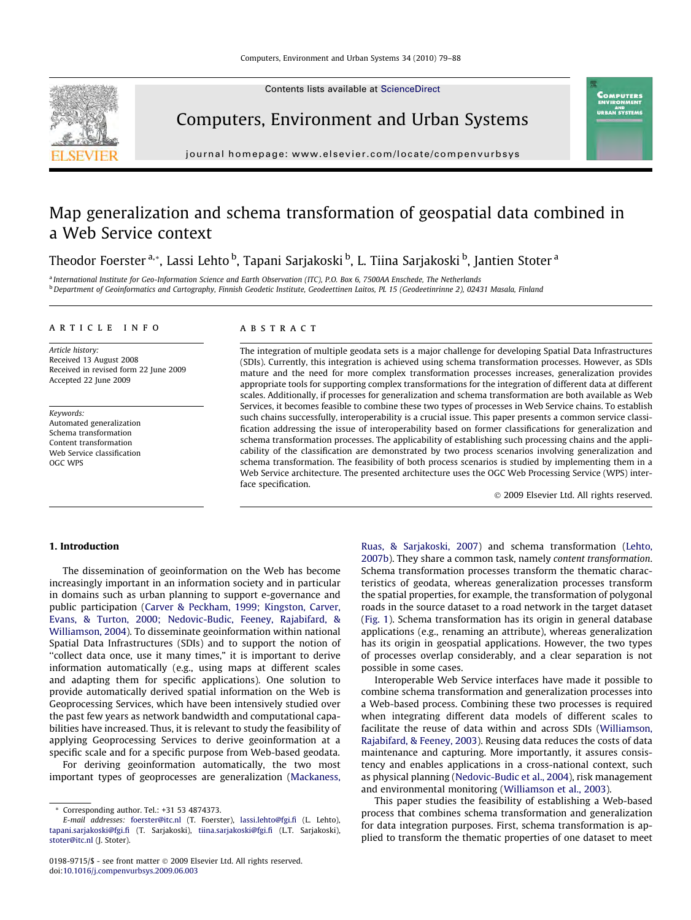Contents lists available at [ScienceDirect](http://www.sciencedirect.com/science/journal/01989715)



Computers, Environment and Urban Systems

journal homepage: [www.elsevier.com/locate/compenvurbsys](http://www.elsevier.com/locate/compenvurbsys)

# Map generalization and schema transformation of geospatial data combined in a Web Service context

Theodor Foerster <sup>a,</sup>\*, Lassi Lehto <sup>b</sup>, Tapani Sarjakoski <sup>b</sup>, L. Tiina Sarjakoski <sup>b</sup>, Jantien Stoter <sup>a</sup>

<sup>a</sup> International Institute for Geo-Information Science and Earth Observation (ITC), P.O. Box 6, 7500AA Enschede, The Netherlands <sup>b</sup> Department of Geoinformatics and Cartography, Finnish Geodetic Institute, Geodeettinen Laitos, PL 15 (Geodeetinrinne 2), 02431 Masala, Finland

#### article info

Article history: Received 13 August 2008 Received in revised form 22 June 2009 Accepted 22 June 2009

Keywords: Automated generalization Schema transformation Content transformation Web Service classification OGC WPS

## ABSTRACT

The integration of multiple geodata sets is a major challenge for developing Spatial Data Infrastructures (SDIs). Currently, this integration is achieved using schema transformation processes. However, as SDIs mature and the need for more complex transformation processes increases, generalization provides appropriate tools for supporting complex transformations for the integration of different data at different scales. Additionally, if processes for generalization and schema transformation are both available as Web Services, it becomes feasible to combine these two types of processes in Web Service chains. To establish such chains successfully, interoperability is a crucial issue. This paper presents a common service classification addressing the issue of interoperability based on former classifications for generalization and schema transformation processes. The applicability of establishing such processing chains and the applicability of the classification are demonstrated by two process scenarios involving generalization and schema transformation. The feasibility of both process scenarios is studied by implementing them in a Web Service architecture. The presented architecture uses the OGC Web Processing Service (WPS) interface specification.

- 2009 Elsevier Ltd. All rights reserved.

**OMPUTERS** 

# 1. Introduction

The dissemination of geoinformation on the Web has become increasingly important in an information society and in particular in domains such as urban planning to support e-governance and public participation [\(Carver & Peckham, 1999; Kingston, Carver,](#page-8-0) [Evans, & Turton, 2000; Nedovic-Budic, Feeney, Rajabifard, &](#page-8-0) [Williamson, 2004\)](#page-8-0). To disseminate geoinformation within national Spatial Data Infrastructures (SDIs) and to support the notion of ''collect data once, use it many times," it is important to derive information automatically (e.g., using maps at different scales and adapting them for specific applications). One solution to provide automatically derived spatial information on the Web is Geoprocessing Services, which have been intensively studied over the past few years as network bandwidth and computational capabilities have increased. Thus, it is relevant to study the feasibility of applying Geoprocessing Services to derive geoinformation at a specific scale and for a specific purpose from Web-based geodata.

For deriving geoinformation automatically, the two most important types of geoprocesses are generalization ([Mackaness,](#page-9-0) [Ruas, & Sarjakoski, 2007](#page-9-0)) and schema transformation ([Lehto,](#page-8-0) [2007b](#page-8-0)). They share a common task, namely content transformation. Schema transformation processes transform the thematic characteristics of geodata, whereas generalization processes transform the spatial properties, for example, the transformation of polygonal roads in the source dataset to a road network in the target dataset ([Fig. 1](#page-1-0)). Schema transformation has its origin in general database applications (e.g., renaming an attribute), whereas generalization has its origin in geospatial applications. However, the two types of processes overlap considerably, and a clear separation is not possible in some cases.

Interoperable Web Service interfaces have made it possible to combine schema transformation and generalization processes into a Web-based process. Combining these two processes is required when integrating different data models of different scales to facilitate the reuse of data within and across SDIs [\(Williamson,](#page-9-0) [Rajabifard, & Feeney, 2003](#page-9-0)). Reusing data reduces the costs of data maintenance and capturing. More importantly, it assures consistency and enables applications in a cross-national context, such as physical planning ([Nedovic-Budic et al., 2004](#page-9-0)), risk management and environmental monitoring [\(Williamson et al., 2003\)](#page-9-0).

This paper studies the feasibility of establishing a Web-based process that combines schema transformation and generalization for data integration purposes. First, schema transformation is applied to transform the thematic properties of one dataset to meet

Corresponding author. Tel.: +31 53 4874373.

E-mail addresses: [foerster@itc.nl](mailto:foerster@itc.nl) (T. Foerster), [lassi.lehto@fgi.fi](mailto:lassi.lehto@fgi.fi) (L. Lehto), [tapani.sarjakoski@fgi.fi](mailto:tapani.sarjakoski@fgi.fi) (T. Sarjakoski), [tiina.sarjakoski@fgi.fi](mailto:tiina.sarjakoski@fgi.fi) (L.T. Sarjakoski), [stoter@itc.nl](mailto:stoter@itc.nl) (J. Stoter).

<sup>0198-9715/\$ -</sup> see front matter © 2009 Elsevier Ltd. All rights reserved. doi[:10.1016/j.compenvurbsys.2009.06.003](http://dx.doi.org/10.1016/j.compenvurbsys.2009.06.003)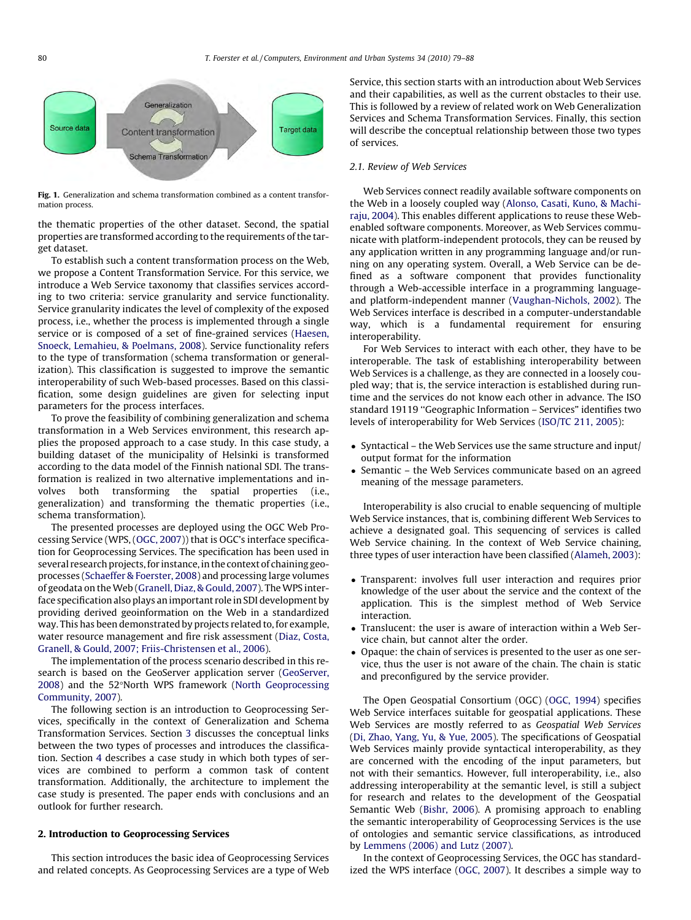<span id="page-1-0"></span>

Fig. 1. Generalization and schema transformation combined as a content transformation process.

the thematic properties of the other dataset. Second, the spatial properties are transformed according to the requirements of the target dataset.

To establish such a content transformation process on the Web, we propose a Content Transformation Service. For this service, we introduce a Web Service taxonomy that classifies services according to two criteria: service granularity and service functionality. Service granularity indicates the level of complexity of the exposed process, i.e., whether the process is implemented through a single service or is composed of a set of fine-grained services [\(Haesen,](#page-8-0) [Snoeck, Lemahieu, & Poelmans, 2008\)](#page-8-0). Service functionality refers to the type of transformation (schema transformation or generalization). This classification is suggested to improve the semantic interoperability of such Web-based processes. Based on this classification, some design guidelines are given for selecting input parameters for the process interfaces.

To prove the feasibility of combining generalization and schema transformation in a Web Services environment, this research applies the proposed approach to a case study. In this case study, a building dataset of the municipality of Helsinki is transformed according to the data model of the Finnish national SDI. The transformation is realized in two alternative implementations and involves both transforming the spatial properties (i.e., generalization) and transforming the thematic properties (i.e., schema transformation).

The presented processes are deployed using the OGC Web Processing Service (WPS, ([OGC, 2007\)](#page-9-0)) that is OGC's interface specification for Geoprocessing Services. The specification has been used in several research projects, for instance, in the context of chaining geoprocesses [\(Schaeffer & Foerster, 2008\)](#page-9-0) and processing large volumes of geodata on theWeb [\(Granell, Diaz, & Gould, 2007](#page-8-0)). TheWPS interface specification also plays an important role in SDI development by providing derived geoinformation on the Web in a standardized way. This has been demonstrated by projects related to, for example, water resource management and fire risk assessment [\(Diaz, Costa,](#page-8-0) [Granell, & Gould, 2007; Friis-Christensen et al., 2006\)](#page-8-0).

The implementation of the process scenario described in this research is based on the GeoServer application server [\(GeoServer,](#page-9-0) [2008\)](#page-9-0) and the  $52^{\circ}$ North WPS framework ([North Geoprocessing](#page-9-0) [Community, 2007\)](#page-9-0).

The following section is an introduction to Geoprocessing Services, specifically in the context of Generalization and Schema Transformation Services. Section [3](#page-4-0) discusses the conceptual links between the two types of processes and introduces the classification. Section [4](#page-5-0) describes a case study in which both types of services are combined to perform a common task of content transformation. Additionally, the architecture to implement the case study is presented. The paper ends with conclusions and an outlook for further research.

# 2. Introduction to Geoprocessing Services

This section introduces the basic idea of Geoprocessing Services and related concepts. As Geoprocessing Services are a type of Web Service, this section starts with an introduction about Web Services and their capabilities, as well as the current obstacles to their use. This is followed by a review of related work on Web Generalization Services and Schema Transformation Services. Finally, this section will describe the conceptual relationship between those two types of services.

## 2.1. Review of Web Services

Web Services connect readily available software components on the Web in a loosely coupled way ([Alonso, Casati, Kuno, & Machi](#page-8-0)[raju, 2004\)](#page-8-0). This enables different applications to reuse these Webenabled software components. Moreover, as Web Services communicate with platform-independent protocols, they can be reused by any application written in any programming language and/or running on any operating system. Overall, a Web Service can be defined as a software component that provides functionality through a Web-accessible interface in a programming languageand platform-independent manner ([Vaughan-Nichols, 2002\)](#page-9-0). The Web Services interface is described in a computer-understandable way, which is a fundamental requirement for ensuring interoperability.

For Web Services to interact with each other, they have to be interoperable. The task of establishing interoperability between Web Services is a challenge, as they are connected in a loosely coupled way; that is, the service interaction is established during runtime and the services do not know each other in advance. The ISO standard 19119 ''Geographic Information – Services" identifies two levels of interoperability for Web Services [\(ISO/TC 211, 2005\)](#page-8-0):

- Syntactical the Web Services use the same structure and input/ output format for the information
- Semantic the Web Services communicate based on an agreed meaning of the message parameters.

Interoperability is also crucial to enable sequencing of multiple Web Service instances, that is, combining different Web Services to achieve a designated goal. This sequencing of services is called Web Service chaining. In the context of Web Service chaining, three types of user interaction have been classified [\(Alameh, 2003\)](#page-8-0):

- Transparent: involves full user interaction and requires prior knowledge of the user about the service and the context of the application. This is the simplest method of Web Service interaction.
- Translucent: the user is aware of interaction within a Web Service chain, but cannot alter the order.
- Opaque: the chain of services is presented to the user as one service, thus the user is not aware of the chain. The chain is static and preconfigured by the service provider.

The Open Geospatial Consortium (OGC) [\(OGC, 1994](#page-9-0)) specifies Web Service interfaces suitable for geospatial applications. These Web Services are mostly referred to as Geospatial Web Services ([Di, Zhao, Yang, Yu, & Yue, 2005\)](#page-8-0). The specifications of Geospatial Web Services mainly provide syntactical interoperability, as they are concerned with the encoding of the input parameters, but not with their semantics. However, full interoperability, i.e., also addressing interoperability at the semantic level, is still a subject for research and relates to the development of the Geospatial Semantic Web ([Bishr, 2006](#page-8-0)). A promising approach to enabling the semantic interoperability of Geoprocessing Services is the use of ontologies and semantic service classifications, as introduced by [Lemmens \(2006\) and Lutz \(2007\).](#page-8-0)

In the context of Geoprocessing Services, the OGC has standardized the WPS interface [\(OGC, 2007\)](#page-9-0). It describes a simple way to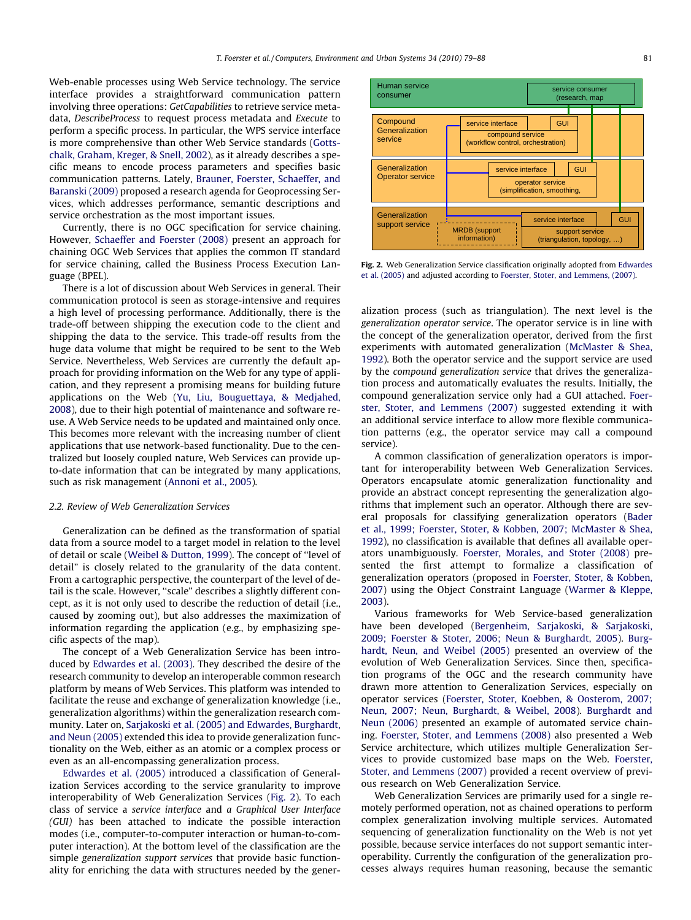Web-enable processes using Web Service technology. The service interface provides a straightforward communication pattern involving three operations: GetCapabilities to retrieve service metadata, DescribeProcess to request process metadata and Execute to perform a specific process. In particular, the WPS service interface is more comprehensive than other Web Service standards [\(Gotts](#page-8-0)[chalk, Graham, Kreger, & Snell, 2002\)](#page-8-0), as it already describes a specific means to encode process parameters and specifies basic communication patterns. Lately, [Brauner, Foerster, Schaeffer, and](#page-8-0) [Baranski \(2009\)](#page-8-0) proposed a research agenda for Geoprocessing Services, which addresses performance, semantic descriptions and service orchestration as the most important issues.

Currently, there is no OGC specification for service chaining. However, [Schaeffer and Foerster \(2008\)](#page-9-0) present an approach for chaining OGC Web Services that applies the common IT standard for service chaining, called the Business Process Execution Language (BPEL).

There is a lot of discussion about Web Services in general. Their communication protocol is seen as storage-intensive and requires a high level of processing performance. Additionally, there is the trade-off between shipping the execution code to the client and shipping the data to the service. This trade-off results from the huge data volume that might be required to be sent to the Web Service. Nevertheless, Web Services are currently the default approach for providing information on the Web for any type of application, and they represent a promising means for building future applications on the Web [\(Yu, Liu, Bouguettaya, & Medjahed,](#page-9-0) [2008](#page-9-0)), due to their high potential of maintenance and software reuse. A Web Service needs to be updated and maintained only once. This becomes more relevant with the increasing number of client applications that use network-based functionality. Due to the centralized but loosely coupled nature, Web Services can provide upto-date information that can be integrated by many applications, such as risk management [\(Annoni et al., 2005\)](#page-8-0).

## 2.2. Review of Web Generalization Services

Generalization can be defined as the transformation of spatial data from a source model to a target model in relation to the level of detail or scale [\(Weibel & Dutton, 1999](#page-9-0)). The concept of ''level of detail" is closely related to the granularity of the data content. From a cartographic perspective, the counterpart of the level of detail is the scale. However, ''scale" describes a slightly different concept, as it is not only used to describe the reduction of detail (i.e., caused by zooming out), but also addresses the maximization of information regarding the application (e.g., by emphasizing specific aspects of the map).

The concept of a Web Generalization Service has been introduced by [Edwardes et al. \(2003\).](#page-8-0) They described the desire of the research community to develop an interoperable common research platform by means of Web Services. This platform was intended to facilitate the reuse and exchange of generalization knowledge (i.e., generalization algorithms) within the generalization research community. Later on, [Sarjakoski et al. \(2005\) and Edwardes, Burghardt,](#page-9-0) [and Neun \(2005\)](#page-9-0) extended this idea to provide generalization functionality on the Web, either as an atomic or a complex process or even as an all-encompassing generalization process.

[Edwardes et al. \(2005\)](#page-8-0) introduced a classification of Generalization Services according to the service granularity to improve interoperability of Web Generalization Services (Fig. 2). To each class of service a service interface and a Graphical User Interface (GUI) has been attached to indicate the possible interaction modes (i.e., computer-to-computer interaction or human-to-computer interaction). At the bottom level of the classification are the simple generalization support services that provide basic functionality for enriching the data with structures needed by the gener-



Fig. 2. Web Generalization Service classification originally adopted from [Edwardes](#page-8-0) [et al. \(2005\)](#page-8-0) and adjusted according to [Foerster, Stoter, and Lemmens, \(2007\).](#page-8-0)

alization process (such as triangulation). The next level is the generalization operator service. The operator service is in line with the concept of the generalization operator, derived from the first experiments with automated generalization ([McMaster & Shea,](#page-9-0) [1992\)](#page-9-0). Both the operator service and the support service are used by the compound generalization service that drives the generalization process and automatically evaluates the results. Initially, the compound generalization service only had a GUI attached. [Foer](#page-8-0)[ster, Stoter, and Lemmens \(2007\)](#page-8-0) suggested extending it with an additional service interface to allow more flexible communication patterns (e.g., the operator service may call a compound service).

A common classification of generalization operators is important for interoperability between Web Generalization Services. Operators encapsulate atomic generalization functionality and provide an abstract concept representing the generalization algorithms that implement such an operator. Although there are several proposals for classifying generalization operators ([Bader](#page-8-0) [et al., 1999; Foerster, Stoter, & Kobben, 2007; McMaster & Shea,](#page-8-0) [1992\)](#page-8-0), no classification is available that defines all available operators unambiguously. [Foerster, Morales, and Stoter \(2008\)](#page-8-0) presented the first attempt to formalize a classification of generalization operators (proposed in [Foerster, Stoter, & Kobben,](#page-8-0) [2007](#page-8-0)) using the Object Constraint Language [\(Warmer & Kleppe,](#page-9-0) [2003](#page-9-0)).

Various frameworks for Web Service-based generalization have been developed [\(Bergenheim, Sarjakoski, & Sarjakoski,](#page-8-0) [2009; Foerster & Stoter, 2006; Neun & Burghardt, 2005\)](#page-8-0). [Burg](#page-8-0)[hardt, Neun, and Weibel \(2005\)](#page-8-0) presented an overview of the evolution of Web Generalization Services. Since then, specification programs of the OGC and the research community have drawn more attention to Generalization Services, especially on operator services ([Foerster, Stoter, Koebben, & Oosterom, 2007;](#page-8-0) [Neun, 2007; Neun, Burghardt, & Weibel, 2008\)](#page-8-0). [Burghardt and](#page-8-0) [Neun \(2006\)](#page-8-0) presented an example of automated service chaining. [Foerster, Stoter, and Lemmens \(2008\)](#page-8-0) also presented a Web Service architecture, which utilizes multiple Generalization Services to provide customized base maps on the Web. [Foerster,](#page-8-0) [Stoter, and Lemmens \(2007\)](#page-8-0) provided a recent overview of previous research on Web Generalization Service.

Web Generalization Services are primarily used for a single remotely performed operation, not as chained operations to perform complex generalization involving multiple services. Automated sequencing of generalization functionality on the Web is not yet possible, because service interfaces do not support semantic interoperability. Currently the configuration of the generalization processes always requires human reasoning, because the semantic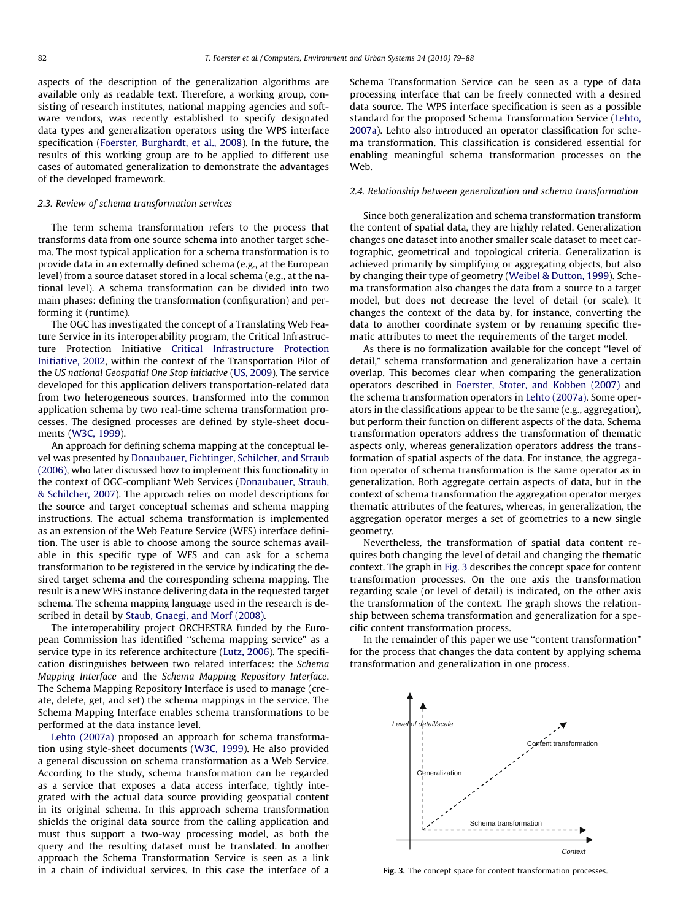<span id="page-3-0"></span>aspects of the description of the generalization algorithms are available only as readable text. Therefore, a working group, consisting of research institutes, national mapping agencies and software vendors, was recently established to specify designated data types and generalization operators using the WPS interface specification ([Foerster, Burghardt, et al., 2008\)](#page-8-0). In the future, the results of this working group are to be applied to different use cases of automated generalization to demonstrate the advantages of the developed framework.

## 2.3. Review of schema transformation services

The term schema transformation refers to the process that transforms data from one source schema into another target schema. The most typical application for a schema transformation is to provide data in an externally defined schema (e.g., at the European level) from a source dataset stored in a local schema (e.g., at the national level). A schema transformation can be divided into two main phases: defining the transformation (configuration) and performing it (runtime).

The OGC has investigated the concept of a Translating Web Feature Service in its interoperability program, the Critical Infrastructure Protection Initiative [Critical Infrastructure Protection](#page-9-0) [Initiative, 2002,](#page-9-0) within the context of the Transportation Pilot of the US national Geospatial One Stop initiative ([US, 2009\)](#page-9-0). The service developed for this application delivers transportation-related data from two heterogeneous sources, transformed into the common application schema by two real-time schema transformation processes. The designed processes are defined by style-sheet documents ([W3C, 1999\)](#page-9-0).

An approach for defining schema mapping at the conceptual level was presented by [Donaubauer, Fichtinger, Schilcher, and Straub](#page-8-0) [\(2006\),](#page-8-0) who later discussed how to implement this functionality in the context of OGC-compliant Web Services ([Donaubauer, Straub,](#page-8-0) [& Schilcher, 2007](#page-8-0)). The approach relies on model descriptions for the source and target conceptual schemas and schema mapping instructions. The actual schema transformation is implemented as an extension of the Web Feature Service (WFS) interface definition. The user is able to choose among the source schemas available in this specific type of WFS and can ask for a schema transformation to be registered in the service by indicating the desired target schema and the corresponding schema mapping. The result is a new WFS instance delivering data in the requested target schema. The schema mapping language used in the research is described in detail by [Staub, Gnaegi, and Morf \(2008\).](#page-9-0)

The interoperability project ORCHESTRA funded by the European Commission has identified ''schema mapping service" as a service type in its reference architecture [\(Lutz, 2006](#page-8-0)). The specification distinguishes between two related interfaces: the Schema Mapping Interface and the Schema Mapping Repository Interface. The Schema Mapping Repository Interface is used to manage (create, delete, get, and set) the schema mappings in the service. The Schema Mapping Interface enables schema transformations to be performed at the data instance level.

[Lehto \(2007a\)](#page-8-0) proposed an approach for schema transformation using style-sheet documents ([W3C, 1999\)](#page-9-0). He also provided a general discussion on schema transformation as a Web Service. According to the study, schema transformation can be regarded as a service that exposes a data access interface, tightly integrated with the actual data source providing geospatial content in its original schema. In this approach schema transformation shields the original data source from the calling application and must thus support a two-way processing model, as both the query and the resulting dataset must be translated. In another approach the Schema Transformation Service is seen as a link in a chain of individual services. In this case the interface of a Schema Transformation Service can be seen as a type of data processing interface that can be freely connected with a desired data source. The WPS interface specification is seen as a possible standard for the proposed Schema Transformation Service ([Lehto,](#page-8-0) [2007a\)](#page-8-0). Lehto also introduced an operator classification for schema transformation. This classification is considered essential for enabling meaningful schema transformation processes on the Web.

## 2.4. Relationship between generalization and schema transformation

Since both generalization and schema transformation transform the content of spatial data, they are highly related. Generalization changes one dataset into another smaller scale dataset to meet cartographic, geometrical and topological criteria. Generalization is achieved primarily by simplifying or aggregating objects, but also by changing their type of geometry ([Weibel & Dutton, 1999](#page-9-0)). Schema transformation also changes the data from a source to a target model, but does not decrease the level of detail (or scale). It changes the context of the data by, for instance, converting the data to another coordinate system or by renaming specific thematic attributes to meet the requirements of the target model.

As there is no formalization available for the concept ''level of detail," schema transformation and generalization have a certain overlap. This becomes clear when comparing the generalization operators described in [Foerster, Stoter, and Kobben \(2007\)](#page-8-0) and the schema transformation operators in [Lehto \(2007a\).](#page-8-0) Some operators in the classifications appear to be the same (e.g., aggregation), but perform their function on different aspects of the data. Schema transformation operators address the transformation of thematic aspects only, whereas generalization operators address the transformation of spatial aspects of the data. For instance, the aggregation operator of schema transformation is the same operator as in generalization. Both aggregate certain aspects of data, but in the context of schema transformation the aggregation operator merges thematic attributes of the features, whereas, in generalization, the aggregation operator merges a set of geometries to a new single geometry.

Nevertheless, the transformation of spatial data content requires both changing the level of detail and changing the thematic context. The graph in Fig. 3 describes the concept space for content transformation processes. On the one axis the transformation regarding scale (or level of detail) is indicated, on the other axis the transformation of the context. The graph shows the relationship between schema transformation and generalization for a specific content transformation process.

In the remainder of this paper we use ''content transformation" for the process that changes the data content by applying schema transformation and generalization in one process.



Fig. 3. The concept space for content transformation processes.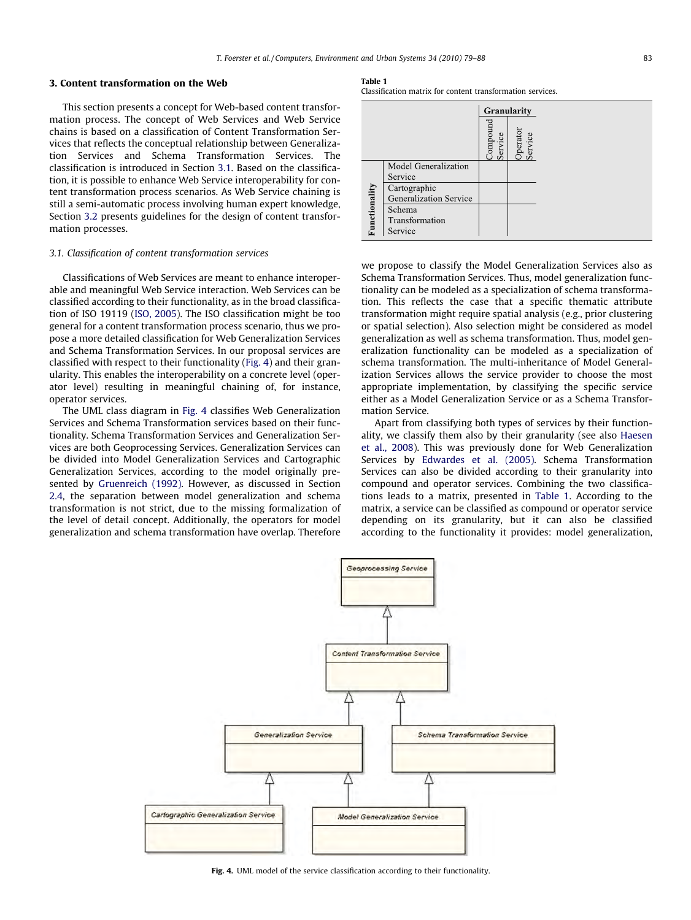## <span id="page-4-0"></span>3. Content transformation on the Web

This section presents a concept for Web-based content transformation process. The concept of Web Services and Web Service chains is based on a classification of Content Transformation Services that reflects the conceptual relationship between Generalization Services and Schema Transformation Services. The classification is introduced in Section 3.1. Based on the classification, it is possible to enhance Web Service interoperability for content transformation process scenarios. As Web Service chaining is still a semi-automatic process involving human expert knowledge, Section [3.2](#page-5-0) presents guidelines for the design of content transformation processes.

## 3.1. Classification of content transformation services

Classifications of Web Services are meant to enhance interoperable and meaningful Web Service interaction. Web Services can be classified according to their functionality, as in the broad classification of ISO 19119 [\(ISO, 2005](#page-8-0)). The ISO classification might be too general for a content transformation process scenario, thus we propose a more detailed classification for Web Generalization Services and Schema Transformation Services. In our proposal services are classified with respect to their functionality (Fig. 4) and their granularity. This enables the interoperability on a concrete level (operator level) resulting in meaningful chaining of, for instance, operator services.

The UML class diagram in Fig. 4 classifies Web Generalization Services and Schema Transformation services based on their functionality. Schema Transformation Services and Generalization Services are both Geoprocessing Services. Generalization Services can be divided into Model Generalization Services and Cartographic Generalization Services, according to the model originally presented by [Gruenreich \(1992\)](#page-8-0). However, as discussed in Section [2.4](#page-3-0), the separation between model generalization and schema transformation is not strict, due to the missing formalization of the level of detail concept. Additionally, the operators for model generalization and schema transformation have overlap. Therefore

#### Table 1

Classification matrix for content transformation services.

|               |                        | Granularity        |                     |
|---------------|------------------------|--------------------|---------------------|
|               |                        | ompound<br>Service | Operator<br>Service |
| Functionality | Model Generalization   |                    |                     |
|               | Service                |                    |                     |
|               | Cartographic           |                    |                     |
|               | Generalization Service |                    |                     |
|               | Schema                 |                    |                     |
|               | Transformation         |                    |                     |
|               | Service                |                    |                     |

we propose to classify the Model Generalization Services also as Schema Transformation Services. Thus, model generalization functionality can be modeled as a specialization of schema transformation. This reflects the case that a specific thematic attribute transformation might require spatial analysis (e.g., prior clustering or spatial selection). Also selection might be considered as model generalization as well as schema transformation. Thus, model generalization functionality can be modeled as a specialization of schema transformation. The multi-inheritance of Model Generalization Services allows the service provider to choose the most appropriate implementation, by classifying the specific service either as a Model Generalization Service or as a Schema Transformation Service.

Apart from classifying both types of services by their functionality, we classify them also by their granularity (see also [Haesen](#page-8-0) [et al., 2008\)](#page-8-0). This was previously done for Web Generalization Services by [Edwardes et al. \(2005\).](#page-8-0) Schema Transformation Services can also be divided according to their granularity into compound and operator services. Combining the two classifications leads to a matrix, presented in Table 1. According to the matrix, a service can be classified as compound or operator service depending on its granularity, but it can also be classified according to the functionality it provides: model generalization,



Fig. 4. UML model of the service classification according to their functionality.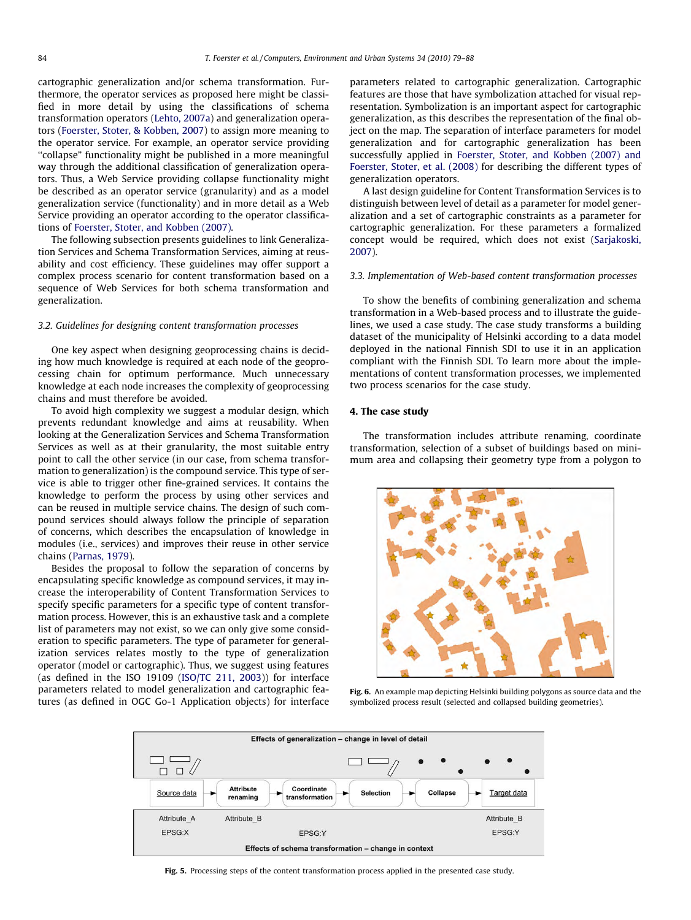<span id="page-5-0"></span>cartographic generalization and/or schema transformation. Furthermore, the operator services as proposed here might be classified in more detail by using the classifications of schema transformation operators [\(Lehto, 2007a](#page-8-0)) and generalization operators [\(Foerster, Stoter, & Kobben, 2007\)](#page-8-0) to assign more meaning to the operator service. For example, an operator service providing ''collapse" functionality might be published in a more meaningful way through the additional classification of generalization operators. Thus, a Web Service providing collapse functionality might be described as an operator service (granularity) and as a model generalization service (functionality) and in more detail as a Web Service providing an operator according to the operator classifications of [Foerster, Stoter, and Kobben \(2007\)](#page-8-0).

The following subsection presents guidelines to link Generalization Services and Schema Transformation Services, aiming at reusability and cost efficiency. These guidelines may offer support a complex process scenario for content transformation based on a sequence of Web Services for both schema transformation and generalization.

# 3.2. Guidelines for designing content transformation processes

One key aspect when designing geoprocessing chains is deciding how much knowledge is required at each node of the geoprocessing chain for optimum performance. Much unnecessary knowledge at each node increases the complexity of geoprocessing chains and must therefore be avoided.

To avoid high complexity we suggest a modular design, which prevents redundant knowledge and aims at reusability. When looking at the Generalization Services and Schema Transformation Services as well as at their granularity, the most suitable entry point to call the other service (in our case, from schema transformation to generalization) is the compound service. This type of service is able to trigger other fine-grained services. It contains the knowledge to perform the process by using other services and can be reused in multiple service chains. The design of such compound services should always follow the principle of separation of concerns, which describes the encapsulation of knowledge in modules (i.e., services) and improves their reuse in other service chains ([Parnas, 1979](#page-9-0)).

Besides the proposal to follow the separation of concerns by encapsulating specific knowledge as compound services, it may increase the interoperability of Content Transformation Services to specify specific parameters for a specific type of content transformation process. However, this is an exhaustive task and a complete list of parameters may not exist, so we can only give some consideration to specific parameters. The type of parameter for generalization services relates mostly to the type of generalization operator (model or cartographic). Thus, we suggest using features (as defined in the ISO 19109 ([ISO/TC 211, 2003](#page-8-0))) for interface parameters related to model generalization and cartographic features (as defined in OGC Go-1 Application objects) for interface

parameters related to cartographic generalization. Cartographic features are those that have symbolization attached for visual representation. Symbolization is an important aspect for cartographic generalization, as this describes the representation of the final object on the map. The separation of interface parameters for model generalization and for cartographic generalization has been successfully applied in [Foerster, Stoter, and Kobben \(2007\) and](#page-8-0) [Foerster, Stoter, et al. \(2008\)](#page-8-0) for describing the different types of generalization operators.

A last design guideline for Content Transformation Services is to distinguish between level of detail as a parameter for model generalization and a set of cartographic constraints as a parameter for cartographic generalization. For these parameters a formalized concept would be required, which does not exist ([Sarjakoski,](#page-9-0) [2007\)](#page-9-0).

## 3.3. Implementation of Web-based content transformation processes

To show the benefits of combining generalization and schema transformation in a Web-based process and to illustrate the guidelines, we used a case study. The case study transforms a building dataset of the municipality of Helsinki according to a data model deployed in the national Finnish SDI to use it in an application compliant with the Finnish SDI. To learn more about the implementations of content transformation processes, we implemented two process scenarios for the case study.

# 4. The case study

The transformation includes attribute renaming, coordinate transformation, selection of a subset of buildings based on minimum area and collapsing their geometry type from a polygon to



Fig. 6. An example map depicting Helsinki building polygons as source data and the symbolized process result (selected and collapsed building geometries).



Fig. 5. Processing steps of the content transformation process applied in the presented case study.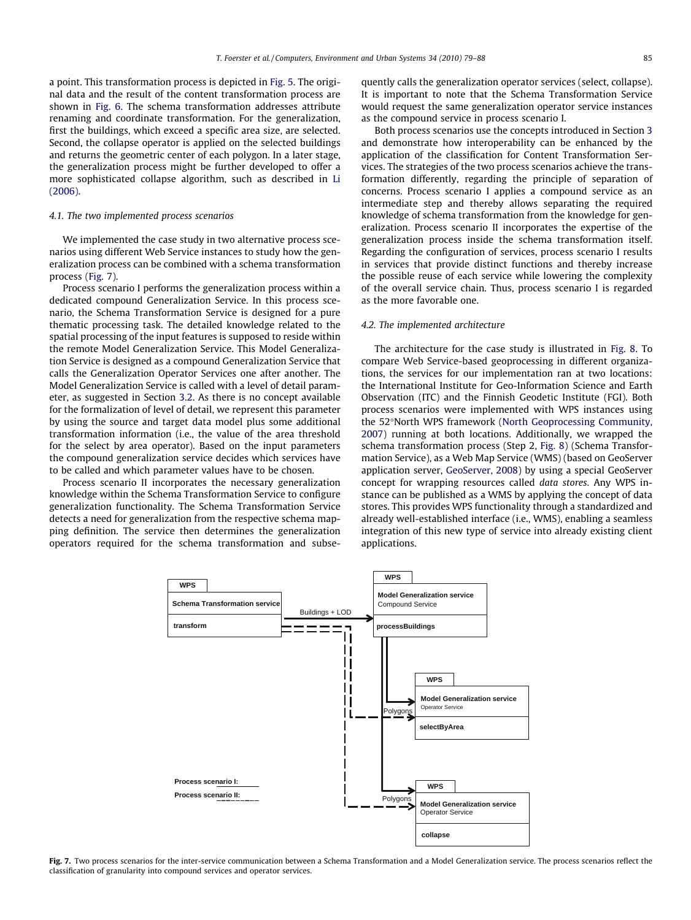<span id="page-6-0"></span>a point. This transformation process is depicted in [Fig. 5.](#page-5-0) The original data and the result of the content transformation process are shown in [Fig. 6.](#page-5-0) The schema transformation addresses attribute renaming and coordinate transformation. For the generalization, first the buildings, which exceed a specific area size, are selected. Second, the collapse operator is applied on the selected buildings and returns the geometric center of each polygon. In a later stage, the generalization process might be further developed to offer a more sophisticated collapse algorithm, such as described in [Li](#page-8-0) [\(2006\)](#page-8-0).

## 4.1. The two implemented process scenarios

We implemented the case study in two alternative process scenarios using different Web Service instances to study how the generalization process can be combined with a schema transformation process (Fig. 7).

Process scenario I performs the generalization process within a dedicated compound Generalization Service. In this process scenario, the Schema Transformation Service is designed for a pure thematic processing task. The detailed knowledge related to the spatial processing of the input features is supposed to reside within the remote Model Generalization Service. This Model Generalization Service is designed as a compound Generalization Service that calls the Generalization Operator Services one after another. The Model Generalization Service is called with a level of detail parameter, as suggested in Section [3.2](#page-5-0). As there is no concept available for the formalization of level of detail, we represent this parameter by using the source and target data model plus some additional transformation information (i.e., the value of the area threshold for the select by area operator). Based on the input parameters the compound generalization service decides which services have to be called and which parameter values have to be chosen.

Process scenario II incorporates the necessary generalization knowledge within the Schema Transformation Service to configure generalization functionality. The Schema Transformation Service detects a need for generalization from the respective schema mapping definition. The service then determines the generalization operators required for the schema transformation and subsequently calls the generalization operator services (select, collapse). It is important to note that the Schema Transformation Service would request the same generalization operator service instances as the compound service in process scenario I.

Both process scenarios use the concepts introduced in Section [3](#page-4-0) and demonstrate how interoperability can be enhanced by the application of the classification for Content Transformation Services. The strategies of the two process scenarios achieve the transformation differently, regarding the principle of separation of concerns. Process scenario I applies a compound service as an intermediate step and thereby allows separating the required knowledge of schema transformation from the knowledge for generalization. Process scenario II incorporates the expertise of the generalization process inside the schema transformation itself. Regarding the configuration of services, process scenario I results in services that provide distinct functions and thereby increase the possible reuse of each service while lowering the complexity of the overall service chain. Thus, process scenario I is regarded as the more favorable one.

## 4.2. The implemented architecture

The architecture for the case study is illustrated in [Fig. 8.](#page-7-0) To compare Web Service-based geoprocessing in different organizations, the services for our implementation ran at two locations: the International Institute for Geo-Information Science and Earth Observation (ITC) and the Finnish Geodetic Institute (FGI). Both process scenarios were implemented with WPS instances using the 52°North WPS framework [\(North Geoprocessing Community,](#page-9-0) [2007](#page-9-0)) running at both locations. Additionally, we wrapped the schema transformation process (Step 2, [Fig. 8\)](#page-7-0) (Schema Transformation Service), as a Web Map Service (WMS) (based on GeoServer application server, [GeoServer, 2008\)](#page-9-0) by using a special GeoServer concept for wrapping resources called data stores. Any WPS instance can be published as a WMS by applying the concept of data stores. This provides WPS functionality through a standardized and already well-established interface (i.e., WMS), enabling a seamless integration of this new type of service into already existing client applications.



Fig. 7. Two process scenarios for the inter-service communication between a Schema Transformation and a Model Generalization service. The process scenarios reflect the classification of granularity into compound services and operator services.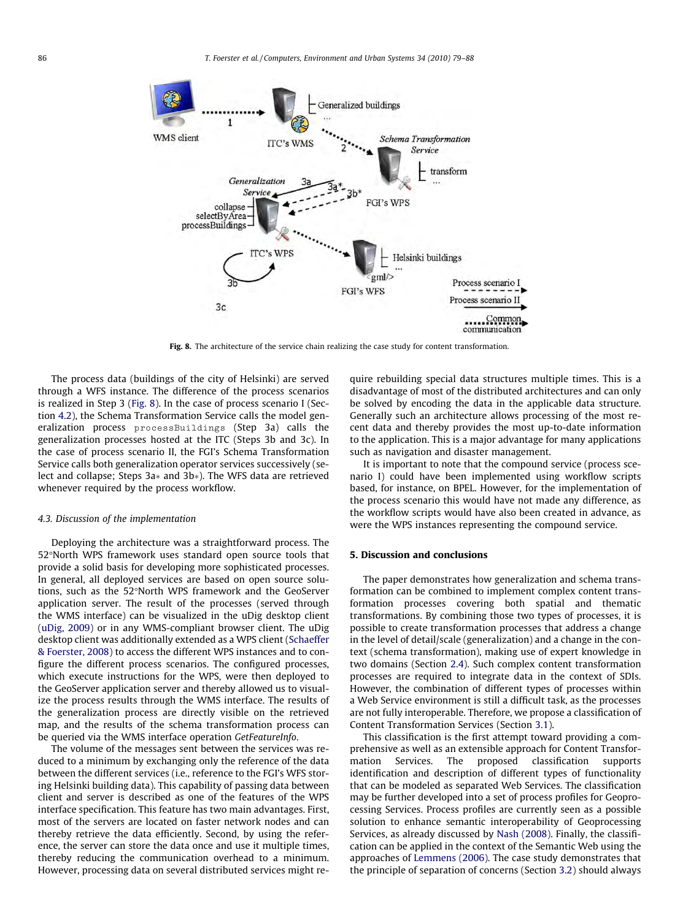<span id="page-7-0"></span>

Fig. 8. The architecture of the service chain realizing the case study for content transformation.

The process data (buildings of the city of Helsinki) are served through a WFS instance. The difference of the process scenarios is realized in Step 3 (Fig. 8). In the case of process scenario I (Section [4.2\)](#page-6-0), the Schema Transformation Service calls the model generalization process processBuildings (Step 3a) calls the generalization processes hosted at the ITC (Steps 3b and 3c). In the case of process scenario II, the FGI's Schema Transformation Service calls both generalization operator services successively (select and collapse; Steps  $3a*$  and  $3b*$ ). The WFS data are retrieved whenever required by the process workflow.

## 4.3. Discussion of the implementation

Deploying the architecture was a straightforward process. The 52°North WPS framework uses standard open source tools that provide a solid basis for developing more sophisticated processes. In general, all deployed services are based on open source solutions, such as the 52°North WPS framework and the GeoServer application server. The result of the processes (served through the WMS interface) can be visualized in the uDig desktop client ([uDig, 2009\)](#page-9-0) or in any WMS-compliant browser client. The uDig desktop client was additionally extended as a WPS client [\(Schaeffer](#page-9-0) [& Foerster, 2008](#page-9-0)) to access the different WPS instances and to configure the different process scenarios. The configured processes, which execute instructions for the WPS, were then deployed to the GeoServer application server and thereby allowed us to visualize the process results through the WMS interface. The results of the generalization process are directly visible on the retrieved map, and the results of the schema transformation process can be queried via the WMS interface operation GetFeatureInfo.

The volume of the messages sent between the services was reduced to a minimum by exchanging only the reference of the data between the different services (i.e., reference to the FGI's WFS storing Helsinki building data). This capability of passing data between client and server is described as one of the features of the WPS interface specification. This feature has two main advantages. First, most of the servers are located on faster network nodes and can thereby retrieve the data efficiently. Second, by using the reference, the server can store the data once and use it multiple times, thereby reducing the communication overhead to a minimum. However, processing data on several distributed services might require rebuilding special data structures multiple times. This is a disadvantage of most of the distributed architectures and can only be solved by encoding the data in the applicable data structure. Generally such an architecture allows processing of the most recent data and thereby provides the most up-to-date information to the application. This is a major advantage for many applications such as navigation and disaster management.

It is important to note that the compound service (process scenario I) could have been implemented using workflow scripts based, for instance, on BPEL. However, for the implementation of the process scenario this would have not made any difference, as the workflow scripts would have also been created in advance, as were the WPS instances representing the compound service.

#### 5. Discussion and conclusions

The paper demonstrates how generalization and schema transformation can be combined to implement complex content transformation processes covering both spatial and thematic transformations. By combining those two types of processes, it is possible to create transformation processes that address a change in the level of detail/scale (generalization) and a change in the context (schema transformation), making use of expert knowledge in two domains (Section [2.4\)](#page-3-0). Such complex content transformation processes are required to integrate data in the context of SDIs. However, the combination of different types of processes within a Web Service environment is still a difficult task, as the processes are not fully interoperable. Therefore, we propose a classification of Content Transformation Services (Section [3.1\)](#page-4-0).

This classification is the first attempt toward providing a comprehensive as well as an extensible approach for Content Transformation Services. The proposed classification supports identification and description of different types of functionality that can be modeled as separated Web Services. The classification may be further developed into a set of process profiles for Geoprocessing Services. Process profiles are currently seen as a possible solution to enhance semantic interoperability of Geoprocessing Services, as already discussed by [Nash \(2008\).](#page-9-0) Finally, the classification can be applied in the context of the Semantic Web using the approaches of [Lemmens](#page-8-0) (2006). The case study demonstrates that the principle of separation of concerns (Section [3.2\)](#page-5-0) should always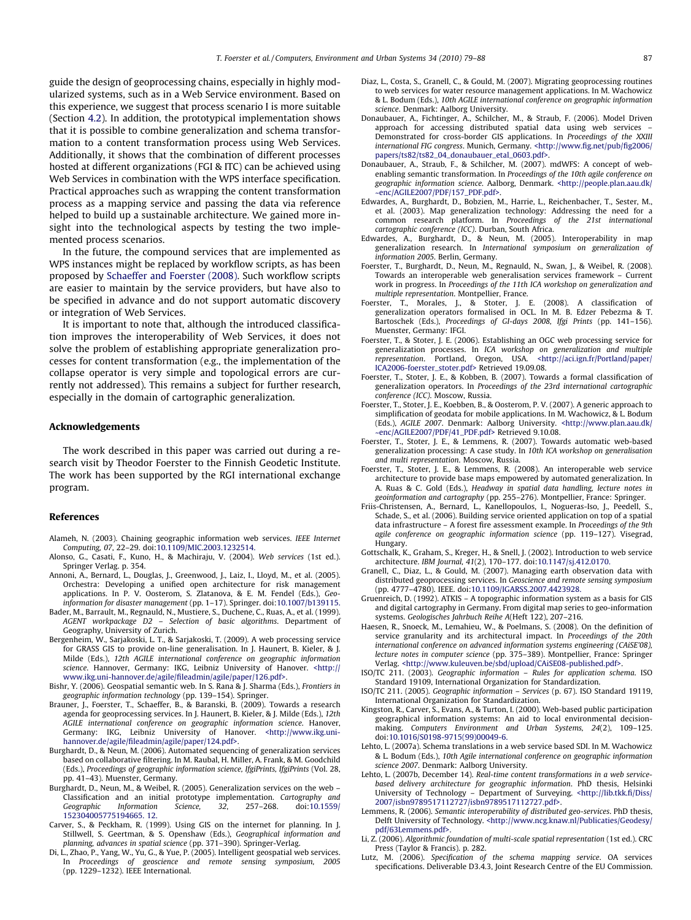<span id="page-8-0"></span>guide the design of geoprocessing chains, especially in highly modularized systems, such as in a Web Service environment. Based on this experience, we suggest that process scenario I is more suitable (Section [4.2](#page-6-0)). In addition, the prototypical implementation shows that it is possible to combine generalization and schema transformation to a content transformation process using Web Services. Additionally, it shows that the combination of different processes hosted at different organizations (FGI & ITC) can be achieved using Web Services in combination with the WPS interface specification. Practical approaches such as wrapping the content transformation process as a mapping service and passing the data via reference helped to build up a sustainable architecture. We gained more insight into the technological aspects by testing the two implemented process scenarios.

In the future, the compound services that are implemented as WPS instances might be replaced by workflow scripts, as has been proposed by [Schaeffer and Foerster \(2008\).](#page-9-0) Such workflow scripts are easier to maintain by the service providers, but have also to be specified in advance and do not support automatic discovery or integration of Web Services.

It is important to note that, although the introduced classification improves the interoperability of Web Services, it does not solve the problem of establishing appropriate generalization processes for content transformation (e.g., the implementation of the collapse operator is very simple and topological errors are currently not addressed). This remains a subject for further research, especially in the domain of cartographic generalization.

## Acknowledgements

The work described in this paper was carried out during a research visit by Theodor Foerster to the Finnish Geodetic Institute. The work has been supported by the RGI international exchange program.

#### References

- Alameh, N. (2003). Chaining geographic information web services. IEEE Internet Computing, 07, 22–29. doi[:10.1109/MIC.2003.1232514.](http://dx.doi.org/10.1109/MIC.2003.1232514)
- Alonso, G., Casati, F., Kuno, H., & Machiraju, V. (2004). Web services (1st ed.). Springer Verlag. p. 354.
- Annoni, A., Bernard, L., Douglas, J., Greenwood, J., Laiz, I., Lloyd, M., et al. (2005). Orchestra: Developing a unified open architecture for risk management applications. In P. V. Oosterom, S. Zlatanova, & E. M. Fendel (Eds.), Geoinformation for disaster management (pp. 1–17). Springer. doi:[10.1007/b139115.](http://dx.doi.org/10.1007/b139115)
- Bader, M., Barrault, M., Regnauld, N., Mustiere, S., Duchene, C., Ruas, A., et al. (1999). AGENT workpackage D2 – Selection of basic algorithms. Department of Geography, University of Zurich.
- Bergenheim, W., Sarjakoski, L. T., & Sarjakoski, T. (2009). A web processing service for GRASS GIS to provide on-line generalisation. In J. Haunert, B. Kieler, & J. Milde (Eds.), 12th AGILE international conference on geographic information science. Hannover, Germany: IKG, Leibniz University of Hanover. [<http://](http://www.ikg.uni-hannover.de/agile/fileadmin/agile/paper/126.pdf) [www.ikg.uni-hannover.de/agile/fileadmin/agile/paper/126.pdf>](http://www.ikg.uni-hannover.de/agile/fileadmin/agile/paper/126.pdf).
- Bishr, Y. (2006). Geospatial semantic web. In S. Rana & J. Sharma (Eds.), Frontiers in geographic information technology (pp. 139–154). Springer.
- Brauner, J., Foerster, T., Schaeffer, B., & Baranski, B. (2009). Towards a research agenda for geoprocessing services. In J. Haunert, B. Kieler, & J. Milde (Eds.), 12th AGILE international conference on geographic information science. Hanover, Germany: IKG, Leibniz University of Hanover. [<http://www.ikg.uni](http://www.ikg.uni-hannover.de/agile/fileadmin/agile/paper/124.pdf)[hannover.de/agile/fileadmin/agile/paper/124.pdf>.](http://www.ikg.uni-hannover.de/agile/fileadmin/agile/paper/124.pdf)
- Burghardt, D., & Neun, M. (2006). Automated sequencing of generalization services based on collaborative filtering. In M. Raubal, H. Miller, A. Frank, & M. Goodchild (Eds.), Proceedings of geographic information science, IfgiPrints, IfgiPrints (Vol. 28, pp. 41–43). Muenster, Germany.
- Burghardt, D., Neun, M., & Weibel, R. (2005). Generalization services on the web Classification and an initial prototype implementation. Cartography and Geographic Information Science, 32, 257-268. doi:10.1559/  $d$ oi:[10.1559/](http://dx.doi.org/10.1559/152304005775194665) [152304005775194665. 12.](http://dx.doi.org/10.1559/152304005775194665)
- Carver, S., & Peckham, R. (1999). Using GIS on the internet for planning. In J. Stillwell, S. Geertman, & S. Openshaw (Eds.), Geographical information and planning, advances in spatial science (pp. 371–390). Springer-Verlag.
- Di, L., Zhao, P., Yang, W., Yu, G., & Yue, P. (2005). Intelligent geospatial web services. In Proceedings of geoscience and remote sensing symposium, 2005 (pp. 1229–1232). IEEE International.
- Diaz, L., Costa, S., Granell, C., & Gould, M. (2007). Migrating geoprocessing routines to web services for water resource management applications. In M. Wachowicz & L. Bodum (Eds.), 10th AGILE international conference on geographic information science. Denmark: Aalborg University.
- Donaubauer, A., Fichtinger, A., Schilcher, M., & Straub, F. (2006). Model Driven approach for accessing distributed spatial data using web services Demonstrated for cross-border GIS applications. In Proceedings of the XXIII international FIG congress. Munich, Germany. [<http://www.fig.net/pub/fig2006/](http://www.fig.net/pub/fig2006/papers/ts82/ts82_04_donaubauer_etal_0603.pdf) [papers/ts82/ts82\\_04\\_donaubauer\\_etal\\_0603.pdf>.](http://www.fig.net/pub/fig2006/papers/ts82/ts82_04_donaubauer_etal_0603.pdf)
- Donaubauer, A., Straub, F., & Schilcher, M. (2007). mdWFS: A concept of webenabling semantic transformation. In Proceedings of the 10th agile conference on geographic information science. Aalborg, Denmark. [<http://people.plan.aau.dk/](http://people.plan.aau.dk/~enc/AGILE2007/PDF/157_PDF.pdf) [~enc/AGILE2007/PDF/157\\_PDF.pdf>.](http://people.plan.aau.dk/~enc/AGILE2007/PDF/157_PDF.pdf)
- Edwardes, A., Burghardt, D., Bobzien, M., Harrie, L., Reichenbacher, T., Sester, M., et al. (2003). Map generalization technology: Addressing the need for a common research platform. In Proceedings of the 21st international cartographic conference (ICC). Durban, South Africa.
- Edwardes, A., Burghardt, D., & Neun, M. (2005). Interoperability in map generalization research. In International symposium on generalization of information 2005. Berlin, Germany.
- Foerster, T., Burghardt, D., Neun, M., Regnauld, N., Swan, J., & Weibel, R. (2008). Towards an interoperable web generalisation services framework – Current work in progress. In Proceedings of the 11th ICA workshop on generalization and multiple representation. Montpellier, France.
- Foerster, T., Morales, J., & Stoter, J. E. (2008). A classification of generalization operators formalised in OCL. In M. B. Edzer Pebezma & T. Bartoschek (Eds.), Proceedings of GI-days 2008, Ifgi Prints (pp. 141–156). Muenster, Germany: IFGI.
- Foerster, T., & Stoter, J. E. (2006). Establishing an OGC web processing service for generalization processes. In ICA workshop on generalization and multiple representation. Portland, Oregon, USA. [<http://aci.ign.fr/Portland/paper/](http://aci.ign.fr/Portland/paper/ICA2006-foerster_stoter.pdf) [ICA2006-foerster\\_stoter.pdf>](http://aci.ign.fr/Portland/paper/ICA2006-foerster_stoter.pdf) Retrieved 19.09.08.
- Foerster, T., Stoter, J. E., & Kobben, B. (2007). Towards a formal classification of generalization operators. In Proceedings of the 23rd international cartographic conference (ICC). Moscow, Russia.
- Foerster, T., Stoter, J. E., Koebben, B., & Oosterom, P. V. (2007). A generic approach to simplification of geodata for mobile applications. In M. Wachowicz, & L. Bodum (Eds.), AGILE 2007. Denmark: Aalborg University. [<http://www.plan.aau.dk/](http://www.plan.aau.dk/~enc/AGILE2007/PDF/41_PDF.pdf) [~enc/AGILE2007/PDF/41\\_PDF.pdf>](http://www.plan.aau.dk/~enc/AGILE2007/PDF/41_PDF.pdf) Retrieved 9.10.08.
- Foerster, T., Stoter, J. E., & Lemmens, R. (2007). Towards automatic web-based generalization processing: A case study. In 10th ICA workshop on generalisation and multi representation. Moscow, Russia.
- Foerster, T., Stoter, J. E., & Lemmens, R. (2008). An interoperable web service architecture to provide base maps empowered by automated generalization. In A. Ruas & C. Gold (Eds.), Headway in spatial data handling, lecture notes in geoinformation and cartography (pp. 255–276). Montpellier, France: Springer.
- Friis-Christensen, A., Bernard, L., Kanellopoulos, I., Nogueras-Iso, J., Peedell, S., Schade, S., et al. (2006). Building service oriented application on top of a spatial data infrastructure – A forest fire assessment example. In Proceedings of the 9th agile conference on geographic information science (pp. 119–127). Visegrad, Hungary.
- Gottschalk, K., Graham, S., Kreger, H., & Snell, J. (2002). Introduction to web service architecture. IBM Journal, 41(2), 170–177. doi:[10.1147/sj.412.0170.](http://dx.doi.org/10.1147/sj.412.0170)
- Granell, C., Diaz, L., & Gould, M. (2007). Managing earth observation data with distributed geoprocessing services. In Geoscience and remote sensing symposium (pp. 4777–4780). IEEE. doi[:10.1109/IGARSS.2007.4423928.](http://dx.doi.org/10.1109/IGARSS.2007.4423928)
- Gruenreich, D. (1992). ATKIS A topographic information system as a basis for GIS and digital cartography in Germany. From digital map series to geo-information systems. Geologisches Jahrbuch Reihe A(Heft 122), 207–216.
- Haesen, R., Snoeck, M., Lemahieu, W., & Poelmans, S. (2008). On the definition of service granularity and its architectural impact. In Proceedings of the 20th international conference on advanced information systems engineering (CAiSE'08), lecture notes in computer science (pp. 375–389). Montpellier, France: Springer Verlag. [<http://www.kuleuven.be/sbd/upload/CAiSE08-published.pdf>.](http://www.kuleuven.be/sbd/upload/CAiSE08-published.pdf)
- ISO/TC 211. (2003). Geographic information Rules for application schema. ISO Standard 19109, International Organization for Standardization.
- ISO/TC 211. (2005). Geographic information Services (p. 67). ISO Standard 19119, International Organization for Standardization.
- Kingston, R., Carver, S., Evans, A., & Turton, I. (2000). Web-based public participation geographical information systems: An aid to local environmental decisionmaking. Computers Environment and Urban Systems, 24(2), 109–125. doi[:10.1016/S0198-9715\(99\)00049-6.](http://dx.doi.org/10.1016/S0198-9715(99)00049-6)
- Lehto, L. (2007a). Schema translations in a web service based SDI. In M. Wachowicz & L. Bodum (Eds.), 10th Agile international conference on geographic information science 2007. Denmark: Aalborg University.
- Lehto, L. (2007b, December 14). Real-time content transformations in a web servicebased delivery architecture for geographic information. PhD thesis, Helsinki University of Technology – Department of Surveying. [<http://lib.tkk.fi/Diss/](http://lib.tkk.fi/Diss/2007/isbn9789517112727/isbn9789517112727.pdf) [2007/isbn9789517112727/isbn9789517112727.pdf>.](http://lib.tkk.fi/Diss/2007/isbn9789517112727/isbn9789517112727.pdf)
- Lemmens, R. (2006). Semantic interoperability of distributed geo-services. PhD thesis, Delft University of Technology. [<http://www.ncg.knaw.nl/Publicaties/Geodesy/](http://www.ncg.knaw.nl/Publicaties/Geodesy/pdf/63Lemmens.pdf) [pdf/63Lemmens.pdf>.](http://www.ncg.knaw.nl/Publicaties/Geodesy/pdf/63Lemmens.pdf)
- Li, Z. (2006). Algorithmic foundation of multi-scale spatial representation (1st ed.). CRC Press (Taylor & Francis). p. 282.
- Lutz, M. (2006). Specification of the schema mapping service. OA services specifications. Deliverable D3.4.3, Joint Research Centre of the EU Commission.